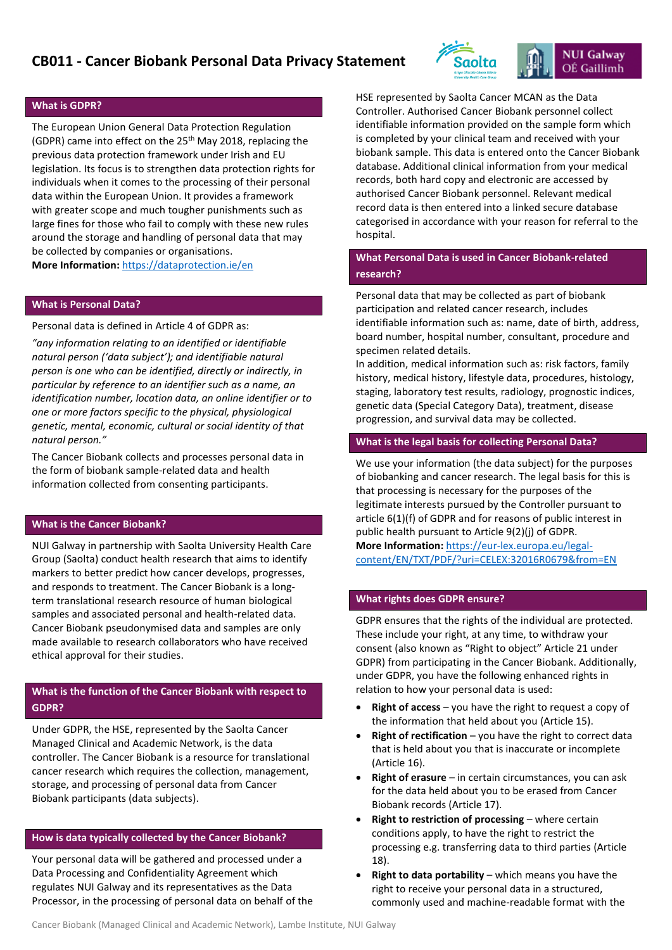# **CB011 - Cancer Biobank Personal Data Privacy Statement**



### **What is GDPR?**

The European Union General Data Protection Regulation (GDPR) came into effect on the 25<sup>th</sup> May 2018, replacing the previous data protection framework under Irish and EU legislation. Its focus is to strengthen data protection rights for individuals when it comes to the processing of their personal data within the European Union. It provides a framework with greater scope and much tougher punishments such as large fines for those who fail to comply with these new rules around the storage and handling of personal data that may be collected by companies or organisations.

**More Information:** <https://dataprotection.ie/en>

# **What is Personal Data?**

Personal data is defined in Article 4 of GDPR as:

*"any information relating to an identified or identifiable natural person ('data subject'); and identifiable natural person is one who can be identified, directly or indirectly, in particular by reference to an identifier such as a name, an identification number, location data, an online identifier or to one or more factors specific to the physical, physiological genetic, mental, economic, cultural or social identity of that natural person."*

The Cancer Biobank collects and processes personal data in the form of biobank sample-related data and health information collected from consenting participants.

## **What is the Cancer Biobank?**

NUI Galway in partnership with Saolta University Health Care Group (Saolta) conduct health research that aims to identify markers to better predict how cancer develops, progresses, and responds to treatment. The Cancer Biobank is a longterm translational research resource of human biological samples and associated personal and health-related data. Cancer Biobank pseudonymised data and samples are only made available to research collaborators who have received ethical approval for their studies.

# **What is the function of the Cancer Biobank with respect to GDPR?**

Under GDPR, the HSE, represented by the Saolta Cancer Managed Clinical and Academic Network, is the data controller. The Cancer Biobank is a resource for translational cancer research which requires the collection, management, storage, and processing of personal data from Cancer Biobank participants (data subjects).

#### **How is data typically collected by the Cancer Biobank?**

Your personal data will be gathered and processed under a Data Processing and Confidentiality Agreement which regulates NUI Galway and its representatives as the Data Processor, in the processing of personal data on behalf of the HSE represented by Saolta Cancer MCAN as the Data Controller. Authorised Cancer Biobank personnel collect identifiable information provided on the sample form which is completed by your clinical team and received with your biobank sample. This data is entered onto the Cancer Biobank database. Additional clinical information from your medical records, both hard copy and electronic are accessed by authorised Cancer Biobank personnel. Relevant medical record data is then entered into a linked secure database categorised in accordance with your reason for referral to the hospital.

# **What Personal Data is used in Cancer Biobank-related research?**

Personal data that may be collected as part of biobank participation and related cancer research, includes identifiable information such as: name, date of birth, address, board number, hospital number, consultant, procedure and specimen related details.

In addition, medical information such as: risk factors, family history, medical history, lifestyle data, procedures, histology, staging, laboratory test results, radiology, prognostic indices, genetic data (Special Category Data), treatment, disease progression, and survival data may be collected.

#### **What is the legal basis for collecting Personal Data?**

We use your information (the data subject) for the purposes of biobanking and cancer research. The legal basis for this is that processing is necessary for the purposes of the legitimate interests pursued by the Controller pursuant to article 6(1)(f) of GDPR and for reasons of public interest in public health pursuant to Article 9(2)(j) of GDPR. **More Information:** [https://eur-lex.europa.eu/legal-](https://eur-lex.europa.eu/legal-content/EN/TXT/PDF/?uri=CELEX:32016R0679&from=EN)

[content/EN/TXT/PDF/?uri=CELEX:32016R0679&from=EN](https://eur-lex.europa.eu/legal-content/EN/TXT/PDF/?uri=CELEX:32016R0679&from=EN)

## **What rights does GDPR ensure?**

GDPR ensures that the rights of the individual are protected. These include your right, at any time, to withdraw your consent (also known as "Right to object" Article 21 under GDPR) from participating in the Cancer Biobank. Additionally, under GDPR, you have the following enhanced rights in relation to how your personal data is used:

- **Right of access** you have the right to request a copy of the information that held about you (Article 15).
- **Right of rectification** you have the right to correct data that is held about you that is inaccurate or incomplete (Article 16).
- **Right of erasure** in certain circumstances, you can ask for the data held about you to be erased from Cancer Biobank records (Article 17).
- **Right to restriction of processing** where certain conditions apply, to have the right to restrict the processing e.g. transferring data to third parties (Article 18).
- **Right to data portability** which means you have the right to receive your personal data in a structured, commonly used and machine-readable format with the